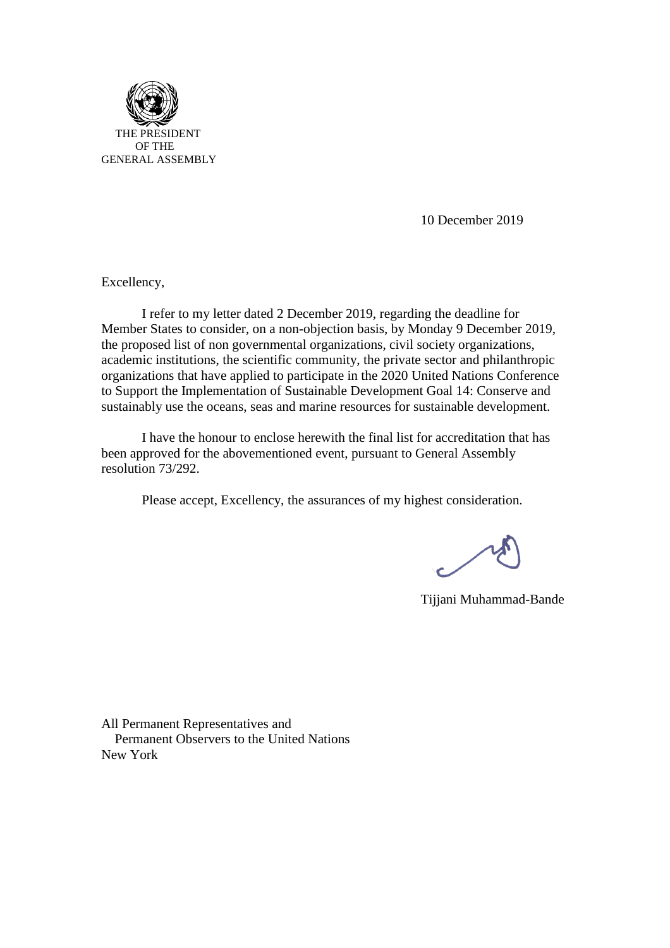

10 [Decem](https://creativecommons.org/licenses/by-sa/3.0/)ber 2019

Excellency,

I refer to my letter dated 2 December 2019, regarding the deadline for Member States to consider, on a non-objection basis, by Monday 9 December 2019, the proposed list of non governmental organizations, civil society organizations, academic institutions, the scientific community, the private sector and philanthropic organizations that have applied to participate in the 2020 United Nations Conference to Support the Implementation of Sustainable Development Goal 14: Conserve and sustainably use the oceans, seas and marine resources for sustainable development.

I have the honour to enclose herewith the final list for accreditation that has been approved for the abovementioned event, pursuant to General Assembly resolution 73/292.

Please accept, Excellency, the assurances of my highest consideration.

Tijjani Muhammad-Bande

All Permanent Representatives and Permanent Observers to the United Nations New York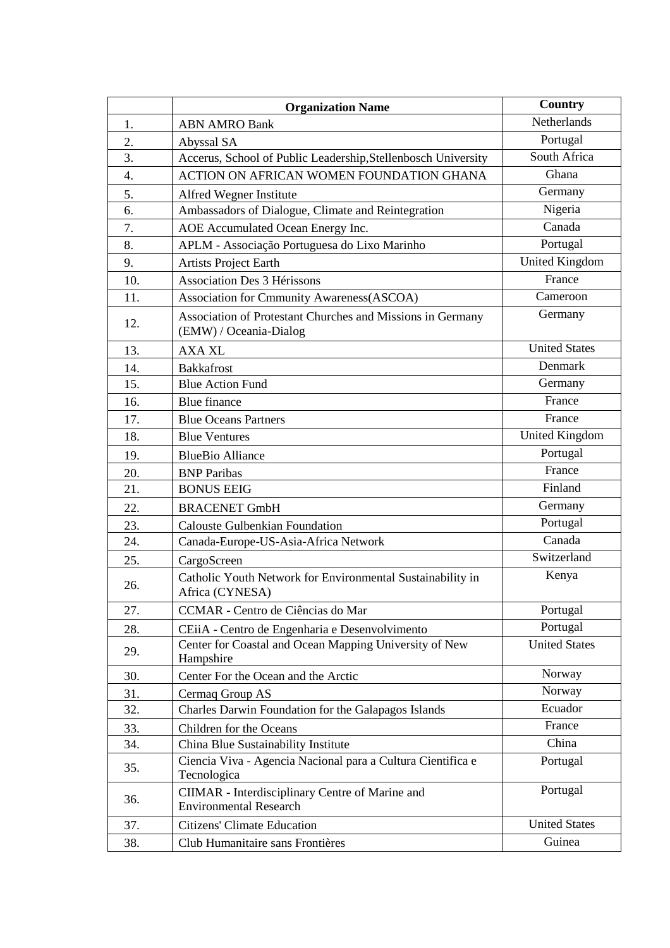|     | <b>Organization Name</b>                                                             | Country               |
|-----|--------------------------------------------------------------------------------------|-----------------------|
| 1.  | <b>ABN AMRO Bank</b>                                                                 | Netherlands           |
| 2.  | Abyssal SA                                                                           | Portugal              |
| 3.  | Accerus, School of Public Leadership, Stellenbosch University                        | South Africa          |
| 4.  | ACTION ON AFRICAN WOMEN FOUNDATION GHANA                                             | Ghana                 |
| 5.  | Alfred Wegner Institute                                                              | Germany               |
| 6.  | Ambassadors of Dialogue, Climate and Reintegration                                   | Nigeria               |
| 7.  | AOE Accumulated Ocean Energy Inc.                                                    | Canada                |
| 8.  | APLM - Associação Portuguesa do Lixo Marinho                                         | Portugal              |
| 9.  | <b>Artists Project Earth</b>                                                         | <b>United Kingdom</b> |
| 10. | <b>Association Des 3 Hérissons</b>                                                   | France                |
| 11. | Association for Cmmunity Awareness(ASCOA)                                            | Cameroon              |
| 12. | Association of Protestant Churches and Missions in Germany<br>(EMW) / Oceania-Dialog | Germany               |
| 13. | <b>AXA XL</b>                                                                        | <b>United States</b>  |
| 14. | <b>Bakkafrost</b>                                                                    | Denmark               |
| 15. | <b>Blue Action Fund</b>                                                              | Germany               |
| 16. | <b>Blue finance</b>                                                                  | France                |
| 17. | <b>Blue Oceans Partners</b>                                                          | France                |
| 18. | <b>Blue Ventures</b>                                                                 | <b>United Kingdom</b> |
| 19. | <b>BlueBio Alliance</b>                                                              | Portugal              |
| 20. | <b>BNP</b> Paribas                                                                   | France                |
| 21. | <b>BONUS EEIG</b>                                                                    | Finland               |
| 22. | <b>BRACENET GmbH</b>                                                                 | Germany               |
| 23. | <b>Calouste Gulbenkian Foundation</b>                                                | Portugal              |
| 24. | Canada-Europe-US-Asia-Africa Network                                                 | Canada                |
| 25. | CargoScreen                                                                          | Switzerland           |
| 26. | Catholic Youth Network for Environmental Sustainability in<br>Africa (CYNESA)        | Kenya                 |
| 27. | CCMAR - Centro de Ciências do Mar                                                    | Portugal              |
| 28. | CEiiA - Centro de Engenharia e Desenvolvimento                                       | Portugal              |
| 29. | Center for Coastal and Ocean Mapping University of New<br>Hampshire                  | <b>United States</b>  |
| 30. | Center For the Ocean and the Arctic                                                  | Norway                |
| 31. | Cermaq Group AS                                                                      | Norway                |
| 32. | Charles Darwin Foundation for the Galapagos Islands                                  | Ecuador               |
| 33. | Children for the Oceans                                                              | France                |
| 34. | China Blue Sustainability Institute                                                  | China                 |
| 35. | Ciencia Viva - Agencia Nacional para a Cultura Científica e<br>Tecnologica           | Portugal              |
| 36. | CIIMAR - Interdisciplinary Centre of Marine and<br><b>Environmental Research</b>     | Portugal              |
| 37. | Citizens' Climate Education                                                          | <b>United States</b>  |
| 38. | Club Humanitaire sans Frontières                                                     | Guinea                |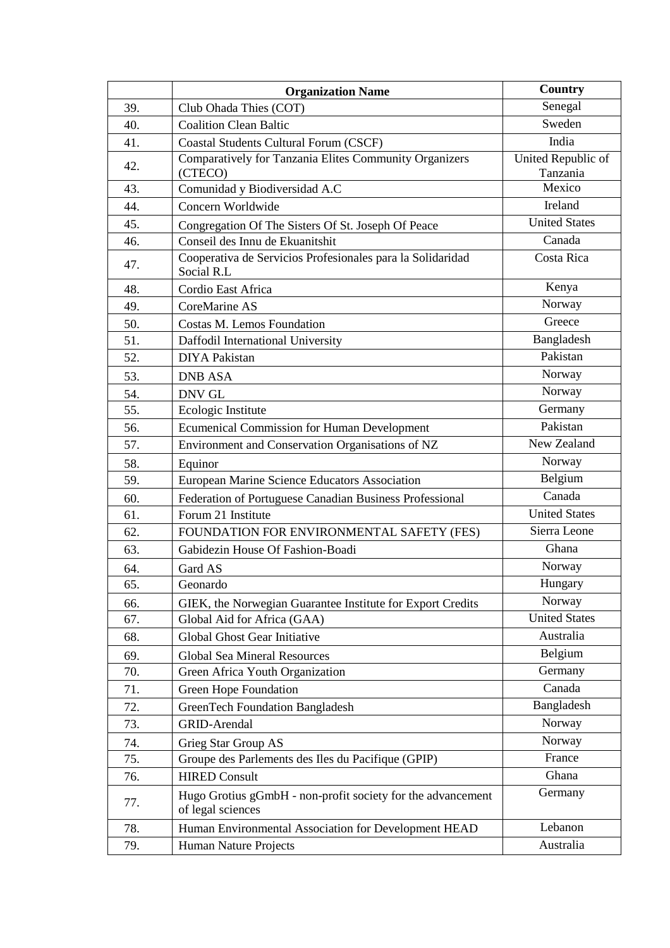|     | <b>Organization Name</b>                                                         | Country              |
|-----|----------------------------------------------------------------------------------|----------------------|
| 39. | Club Ohada Thies (COT)                                                           | Senegal              |
| 40. | <b>Coalition Clean Baltic</b>                                                    | Sweden               |
| 41. | <b>Coastal Students Cultural Forum (CSCF)</b>                                    | India                |
| 42. | Comparatively for Tanzania Elites Community Organizers                           | United Republic of   |
|     | (CTECO)                                                                          | Tanzania             |
| 43. | Comunidad y Biodiversidad A.C                                                    | Mexico               |
| 44. | Concern Worldwide                                                                | Ireland              |
| 45. | Congregation Of The Sisters Of St. Joseph Of Peace                               | <b>United States</b> |
| 46. | Conseil des Innu de Ekuanitshit                                                  | Canada               |
| 47. | Cooperativa de Servicios Profesionales para la Solidaridad<br>Social R.L         | Costa Rica           |
| 48. | Cordio East Africa                                                               | Kenya                |
| 49. | CoreMarine AS                                                                    | Norway               |
| 50. | Costas M. Lemos Foundation                                                       | Greece               |
| 51. | Daffodil International University                                                | Bangladesh           |
| 52. | <b>DIYA Pakistan</b>                                                             | Pakistan             |
| 53. | <b>DNB ASA</b>                                                                   | Norway               |
| 54. | <b>DNV GL</b>                                                                    | Norway               |
| 55. | Ecologic Institute                                                               | Germany              |
| 56. | <b>Ecumenical Commission for Human Development</b>                               | Pakistan             |
| 57. | Environment and Conservation Organisations of NZ                                 | New Zealand          |
| 58. | Equinor                                                                          | Norway               |
| 59. | European Marine Science Educators Association                                    | Belgium              |
| 60. | Federation of Portuguese Canadian Business Professional                          | Canada               |
| 61. | Forum 21 Institute                                                               | <b>United States</b> |
| 62. | FOUNDATION FOR ENVIRONMENTAL SAFETY (FES)                                        | Sierra Leone         |
| 63. | Gabidezin House Of Fashion-Boadi                                                 | Ghana                |
| 64. | Gard AS                                                                          | Norway               |
| 65. | Geonardo                                                                         | Hungary              |
| 66. | GIEK, the Norwegian Guarantee Institute for Export Credits                       | Norway               |
| 67. | Global Aid for Africa (GAA)                                                      | <b>United States</b> |
| 68. | Global Ghost Gear Initiative                                                     | Australia            |
| 69. | <b>Global Sea Mineral Resources</b>                                              | Belgium              |
| 70. | Green Africa Youth Organization                                                  | Germany              |
| 71. | Green Hope Foundation                                                            | Canada               |
| 72. | <b>GreenTech Foundation Bangladesh</b>                                           | Bangladesh           |
| 73. | <b>GRID-Arendal</b>                                                              | Norway               |
| 74. | Grieg Star Group AS                                                              | Norway               |
| 75. | Groupe des Parlements des Iles du Pacifique (GPIP)                               | France               |
| 76. | <b>HIRED Consult</b>                                                             | Ghana                |
| 77. | Hugo Grotius gGmbH - non-profit society for the advancement<br>of legal sciences | Germany              |
| 78. | Human Environmental Association for Development HEAD                             | Lebanon              |
| 79. | Human Nature Projects                                                            | Australia            |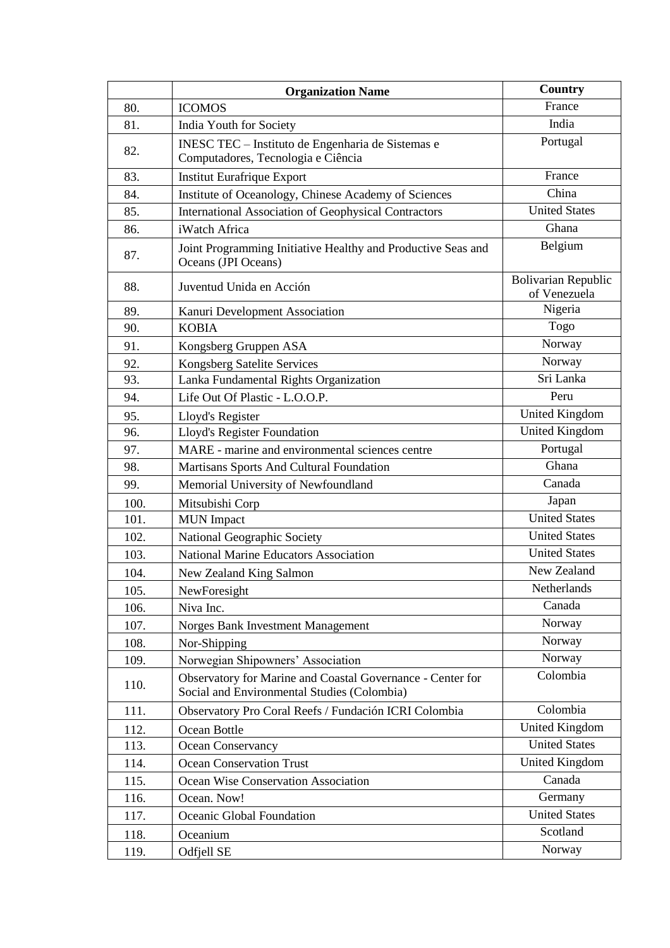|      | <b>Organization Name</b>                                                                                  | Country                                    |
|------|-----------------------------------------------------------------------------------------------------------|--------------------------------------------|
| 80.  | <b>ICOMOS</b>                                                                                             | France                                     |
| 81.  | India Youth for Society                                                                                   | India                                      |
| 82.  | INESC TEC - Instituto de Engenharia de Sistemas e<br>Computadores, Tecnologia e Ciência                   | Portugal                                   |
| 83.  | Institut Eurafrique Export                                                                                | France                                     |
| 84.  | Institute of Oceanology, Chinese Academy of Sciences                                                      | China                                      |
| 85.  | <b>International Association of Geophysical Contractors</b>                                               | <b>United States</b>                       |
| 86.  | iWatch Africa                                                                                             | Ghana                                      |
| 87.  | Joint Programming Initiative Healthy and Productive Seas and<br>Oceans (JPI Oceans)                       | Belgium                                    |
| 88.  | Juventud Unida en Acción                                                                                  | <b>Bolivarian Republic</b><br>of Venezuela |
| 89.  | Kanuri Development Association                                                                            | Nigeria                                    |
| 90.  | <b>KOBIA</b>                                                                                              | Togo                                       |
| 91.  | Kongsberg Gruppen ASA                                                                                     | Norway                                     |
| 92.  | Kongsberg Satelite Services                                                                               | Norway                                     |
| 93.  | Lanka Fundamental Rights Organization                                                                     | Sri Lanka                                  |
| 94.  | Life Out Of Plastic - L.O.O.P.                                                                            | Peru                                       |
| 95.  | Lloyd's Register                                                                                          | <b>United Kingdom</b>                      |
| 96.  | Lloyd's Register Foundation                                                                               | <b>United Kingdom</b>                      |
| 97.  | MARE - marine and environmental sciences centre                                                           | Portugal                                   |
| 98.  | Martisans Sports And Cultural Foundation                                                                  | Ghana                                      |
| 99.  | Memorial University of Newfoundland                                                                       | Canada                                     |
| 100. | Mitsubishi Corp                                                                                           | Japan                                      |
| 101. | <b>MUN</b> Impact                                                                                         | <b>United States</b>                       |
| 102. | National Geographic Society                                                                               | <b>United States</b>                       |
| 103. | National Marine Educators Association                                                                     | <b>United States</b>                       |
| 104. | New Zealand King Salmon                                                                                   | New Zealand                                |
| 105. | NewForesight                                                                                              | Netherlands                                |
| 106. | Niva Inc.                                                                                                 | Canada                                     |
| 107. | Norges Bank Investment Management                                                                         | Norway                                     |
| 108. | Nor-Shipping                                                                                              | Norway                                     |
| 109. | Norwegian Shipowners' Association                                                                         | Norway                                     |
| 110. | Observatory for Marine and Coastal Governance - Center for<br>Social and Environmental Studies (Colombia) | Colombia                                   |
| 111. | Observatory Pro Coral Reefs / Fundación ICRI Colombia                                                     | Colombia                                   |
| 112. | Ocean Bottle                                                                                              | <b>United Kingdom</b>                      |
| 113. | Ocean Conservancy                                                                                         | <b>United States</b>                       |
| 114. | <b>Ocean Conservation Trust</b>                                                                           | <b>United Kingdom</b>                      |
| 115. | Ocean Wise Conservation Association                                                                       | Canada                                     |
| 116. | Ocean. Now!                                                                                               | Germany                                    |
| 117. | Oceanic Global Foundation                                                                                 | <b>United States</b>                       |
| 118. | Oceanium                                                                                                  | Scotland                                   |
| 119. | Odfjell SE                                                                                                | Norway                                     |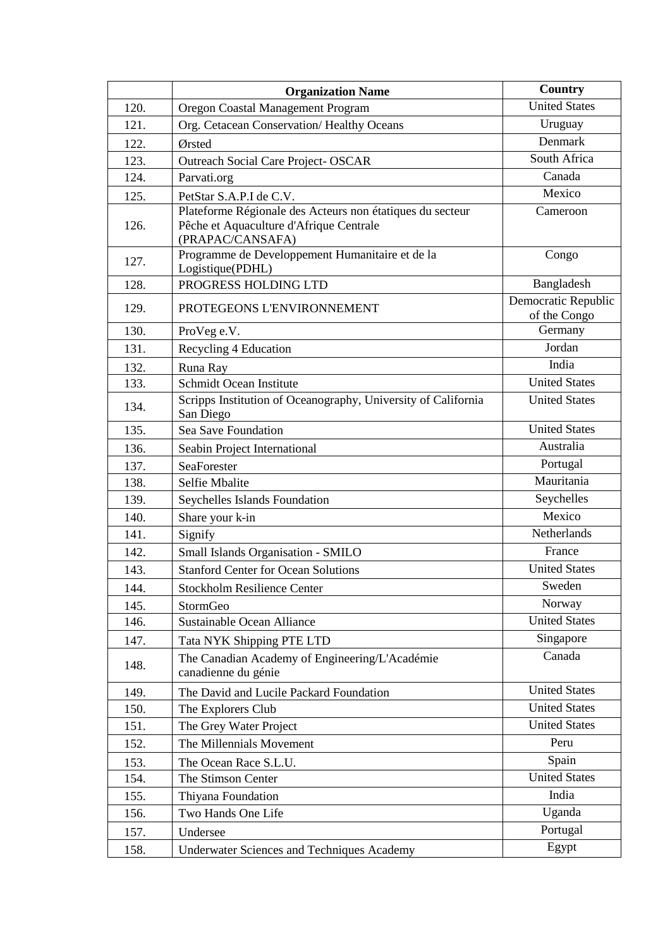|      | <b>Organization Name</b>                                                                                                 | Country                             |
|------|--------------------------------------------------------------------------------------------------------------------------|-------------------------------------|
| 120. | Oregon Coastal Management Program                                                                                        | <b>United States</b>                |
| 121. | Org. Cetacean Conservation/Healthy Oceans                                                                                | Uruguay                             |
| 122. | Ørsted                                                                                                                   | Denmark                             |
| 123. | <b>Outreach Social Care Project- OSCAR</b>                                                                               | South Africa                        |
| 124. | Parvati.org                                                                                                              | Canada                              |
| 125. | PetStar S.A.P.I de C.V.                                                                                                  | Mexico                              |
| 126. | Plateforme Régionale des Acteurs non étatiques du secteur<br>Pêche et Aquaculture d'Afrique Centrale<br>(PRAPAC/CANSAFA) | Cameroon                            |
| 127. | Programme de Developpement Humanitaire et de la<br>Logistique(PDHL)                                                      | Congo                               |
| 128. | PROGRESS HOLDING LTD                                                                                                     | Bangladesh                          |
| 129. | PROTEGEONS L'ENVIRONNEMENT                                                                                               | Democratic Republic<br>of the Congo |
| 130. | ProVeg e.V.                                                                                                              | Germany                             |
| 131. | Recycling 4 Education                                                                                                    | Jordan                              |
| 132. | Runa Ray                                                                                                                 | India                               |
| 133. | Schmidt Ocean Institute                                                                                                  | <b>United States</b>                |
| 134. | Scripps Institution of Oceanography, University of California<br>San Diego                                               | <b>United States</b>                |
| 135. | Sea Save Foundation                                                                                                      | <b>United States</b>                |
| 136. | Seabin Project International                                                                                             | Australia                           |
| 137. | SeaForester                                                                                                              | Portugal                            |
| 138. | Selfie Mbalite                                                                                                           | Mauritania                          |
| 139. | Seychelles Islands Foundation                                                                                            | Seychelles                          |
| 140. | Share your k-in                                                                                                          | Mexico                              |
| 141. | Signify                                                                                                                  | Netherlands                         |
| 142. | Small Islands Organisation - SMILO                                                                                       | France                              |
| 143. | <b>Stanford Center for Ocean Solutions</b>                                                                               | <b>United States</b>                |
| 144. | <b>Stockholm Resilience Center</b>                                                                                       | Sweden                              |
| 145. | StormGeo                                                                                                                 | Norway                              |
| 146. | <b>Sustainable Ocean Alliance</b>                                                                                        | <b>United States</b>                |
| 147. | Tata NYK Shipping PTE LTD                                                                                                | Singapore                           |
| 148. | The Canadian Academy of Engineering/L'Académie<br>canadienne du génie                                                    | Canada                              |
| 149. | The David and Lucile Packard Foundation                                                                                  | <b>United States</b>                |
| 150. | The Explorers Club                                                                                                       | <b>United States</b>                |
| 151. | The Grey Water Project                                                                                                   | <b>United States</b>                |
| 152. | The Millennials Movement                                                                                                 | Peru                                |
| 153. | The Ocean Race S.L.U.                                                                                                    | Spain                               |
| 154. | The Stimson Center                                                                                                       | <b>United States</b>                |
| 155. | Thiyana Foundation                                                                                                       | India                               |
| 156. | Two Hands One Life                                                                                                       | Uganda                              |
| 157. | Undersee                                                                                                                 | Portugal                            |
| 158. | <b>Underwater Sciences and Techniques Academy</b>                                                                        | Egypt                               |